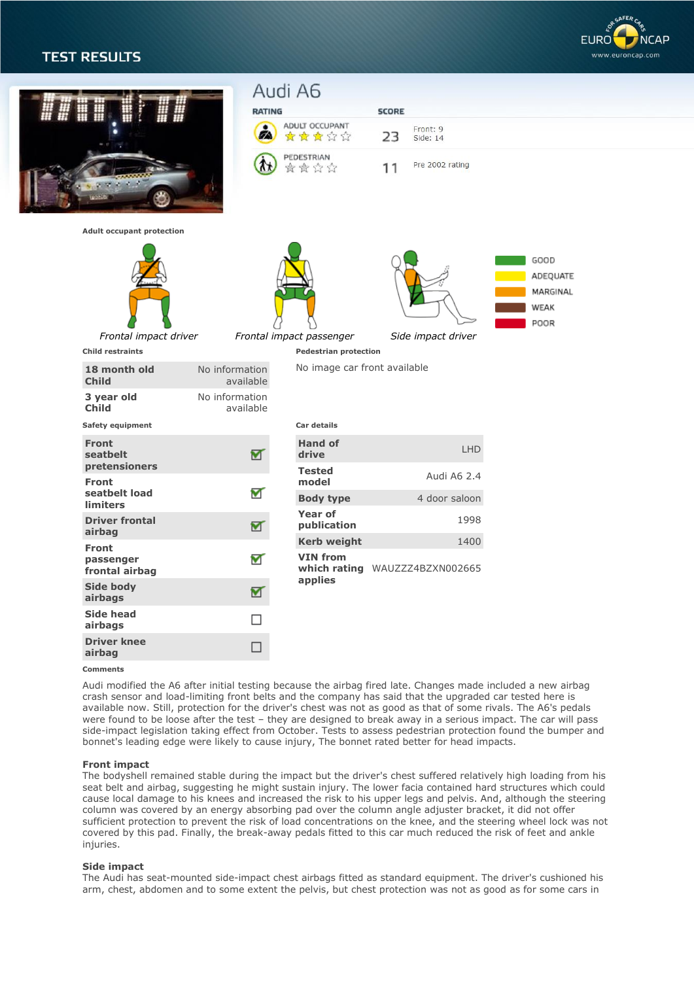# **TEST RESULTS**





### **Comments**

Audi modified the A6 after initial testing because the airbag fired late. Changes made included a new airbag crash sensor and load-limiting front belts and the company has said that the upgraded car tested here is available now. Still, protection for the driver's chest was not as good as that of some rivals. The A6's pedals were found to be loose after the test – they are designed to break away in a serious impact. The car will pass side-impact legislation taking effect from October. Tests to assess pedestrian protection found the bumper and bonnet's leading edge were likely to cause injury, The bonnet rated better for head impacts.

#### **Front impact**

The bodyshell remained stable during the impact but the driver's chest suffered relatively high loading from his seat belt and airbag, suggesting he might sustain injury. The lower facia contained hard structures which could cause local damage to his knees and increased the risk to his upper legs and pelvis. And, although the steering column was covered by an energy absorbing pad over the column angle adjuster bracket, it did not offer sufficient protection to prevent the risk of load concentrations on the knee, and the steering wheel lock was not covered by this pad. Finally, the break-away pedals fitted to this car much reduced the risk of feet and ankle injuries.

### **Side impact**

The Audi has seat-mounted side-impact chest airbags fitted as standard equipment. The driver's cushioned his arm, chest, abdomen and to some extent the pelvis, but chest protection was not as good as for some cars in